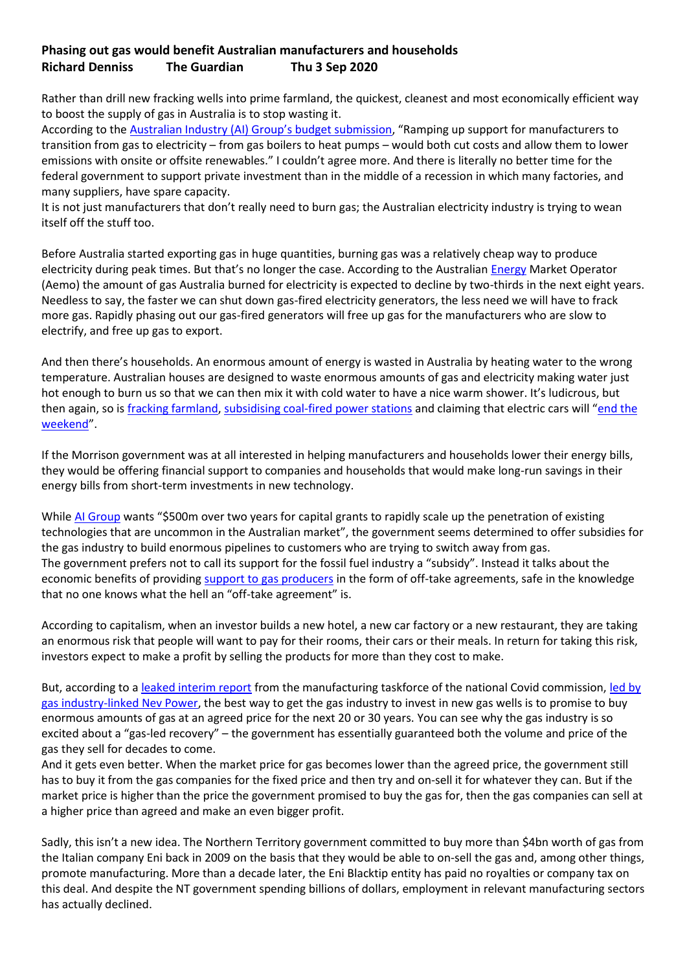## **Phasing out gas would benefit Australian manufacturers and households Richard Denniss The Guardian Thu 3 Sep 2020**

Rather than drill new fracking wells into prime farmland, the quickest, cleanest and most economically efficient way to boost the supply of gas in Australia is to stop wasting it.

According to the **Australian Industry (AI) Group's budget submission**, "Ramping up support for manufacturers to transition from gas to electricity – from gas boilers to heat pumps – would both cut costs and allow them to lower emissions with onsite or offsite renewables." I couldn't agree more. And there is literally no better time for the federal government to support private investment than in the middle of a recession in which many factories, and many suppliers, have spare capacity.

It is not just manufacturers that don't really need to burn gas; the Australian electricity industry is trying to wean itself off the stuff too.

Before Australia started exporting gas in huge quantities, burning gas was a relatively cheap way to produce electricity during peak times. But that's no longer the case. According to the Australian [Energy](https://www.theguardian.com/australia-news/energy-australia) Market Operator (Aemo) the amount of gas Australia burned for electricity is expected to decline by two-thirds in the next eight years. Needless to say, the faster we can shut down gas-fired electricity generators, the less need we will have to frack more gas. Rapidly phasing out our gas-fired generators will free up gas for the manufacturers who are slow to electrify, and free up gas to export.

And then there's households. An enormous amount of energy is wasted in Australia by heating water to the wrong temperature. Australian houses are designed to waste enormous amounts of gas and electricity making water just hot enough to burn us so that we can then mix it with cold water to have a nice warm shower. It's ludicrous, but then again, so is [fracking farmland,](https://countrycaller.com.au/2020/08/30/exclusive-coal-seam-gas-water-spills-into-farmland-as-condamine-river-tributary-charleys-creek-bubbles/) [subsidising coal-fired power stations](https://www.theguardian.com/australia-news/2020/feb/08/private-investors-wont-touch-new-coalition-backed-coal-plant-labor-says) and claiming that electric cars will "[end the](https://www.theguardian.com/australia-news/2019/apr/07/shorten-wants-to-end-the-weekend-morrison-attacks-labors-electric-vehicle-policy)  [weekend](https://www.theguardian.com/australia-news/2019/apr/07/shorten-wants-to-end-the-weekend-morrison-attacks-labors-electric-vehicle-policy)".

If the Morrison government was at all interested in helping manufacturers and households lower their energy bills, they would be offering financial support to companies and households that would make long-run savings in their energy bills from short-term investments in new technology.

While [AI Group](https://cdn.aigroup.com.au/Submissions/Budget/2020/Budget_submission_2020-21.pdf) wants "\$500m over two years for capital grants to rapidly scale up the penetration of existing technologies that are uncommon in the Australian market", the government seems determined to offer subsidies for the gas industry to build enormous pipelines to customers who are trying to switch away from gas. The government prefers not to call its support for the fossil fuel industry a "subsidy". Instead it talks about the economic benefits of providing [support to gas producers](https://www.theguardian.com/australia-news/2020/aug/11/australias-covid-commission-downplays-green-recovery-and-confirms-gas-push) in the form of off-take agreements, safe in the knowledge that no one knows what the hell an "off-take agreement" is.

According to capitalism, when an investor builds a new hotel, a new car factory or a new restaurant, they are taking an enormous risk that people will want to pay for their rooms, their cars or their meals. In return for taking this risk, investors expect to make a profit by selling the products for more than they cost to make.

But, according to a [leaked interim report](https://www.theguardian.com/environment/2020/may/21/leaked-covid-19-commission-report-calls-for-australian-taxpayers-to-underwrite-gas-industry-expansion) from the manufacturing taskforce of the national Covid commission, led by [gas industry-linked Nev Power,](https://www.theguardian.com/australia-news/2020/may/23/covid-commission-boss-nev-power-steps-back-at-gas-company-amid-conflict-of-interest-concerns) the best way to get the gas industry to invest in new gas wells is to promise to buy enormous amounts of gas at an agreed price for the next 20 or 30 years. You can see why the gas industry is so excited about a "gas-led recovery" – the government has essentially guaranteed both the volume and price of the gas they sell for decades to come.

And it gets even better. When the market price for gas becomes lower than the agreed price, the government still has to buy it from the gas companies for the fixed price and then try and on-sell it for whatever they can. But if the market price is higher than the price the government promised to buy the gas for, then the gas companies can sell at a higher price than agreed and make an even bigger profit.

Sadly, this isn't a new idea. The Northern Territory government committed to buy more than [\\$4bn worth of gas from](https://www.tai.org.au/sites/default/files/P944%20NT%20gas%20and%20manufacturing%20%5BWeb%5D.pdf)  [the Italian company Eni back in 2009](https://www.tai.org.au/sites/default/files/P944%20NT%20gas%20and%20manufacturing%20%5BWeb%5D.pdf) on the basis that they would be able to on-sell the gas and, among other things, promote manufacturing. More than a decade later, the Eni Blacktip entity has paid no royalties or company tax on this deal. And despite the NT government spending billions of dollars, employment in relevant manufacturing sectors has actually declined.